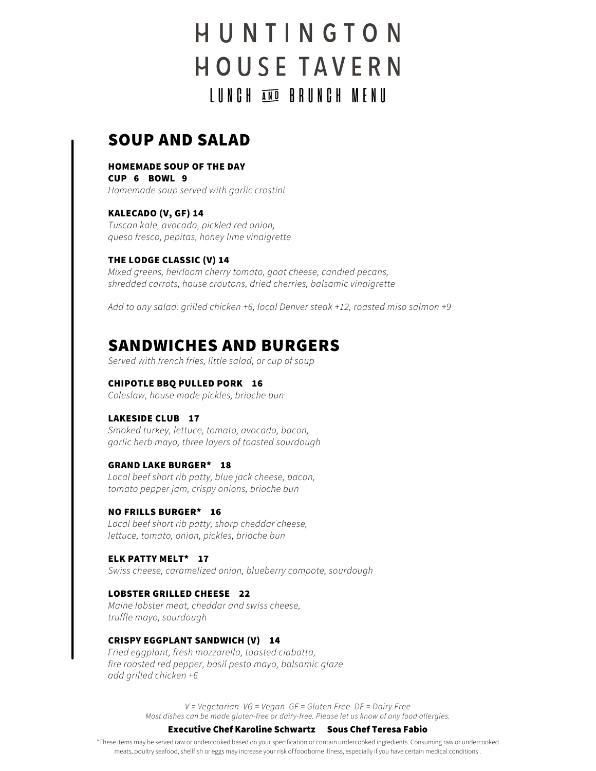# HUNTINGTON **HOUSE TAVERN** LUNCH AND BRUNCH MENU

# SOUP AND SALAD

# HOMEMADE SOUP OF THE DAY

CUP 6 BOWL 9 Homemade soup served with garlic crostini

KALECADO (V, GF) 14 Tuscan kale, avocado, pickled red onion, queso fresco, pepitas, honey lime vinaigrette

# THE LODGE CLASSIC (V) 14

Mixed greens, heirloom cherry tomato, goat cheese, candied pecans, shredded carrots, house croutons, dried cherries, balsamic vinaigrette

Add to any salad: grilled chicken +6, local Denver steak +12, roasted miso salmon +9

# SANDWICHES AND BURGERS

Served with french fries, little salad, or cup of soup

## CHIPOTLE BBQ PULLED PORK 16

Coleslaw, house made pickles, brioche bun

## LAKESIDE CLUB 17

Smoked turkey, lettuce, tomato, avocado, bacon, garlic herb mayo, three layers of toasted sourdough

#### GRAND LAKE BURGER\* 18

Local beef short rib patty, blue jack cheese, bacon, tomato pepper jam, crispy onions, brioche bun

## NO FRILLS BURGER\* 16

Local beef short rib patty, sharp cheddar cheese, lettuce, tomato, onion, pickles, brioche bun

ELK PATTY MELT\* 17 Swiss cheese, caramelized onion, blueberry compote, sourdough

## LOBSTER GRILLED CHEESE 22

Maine lobster meat, cheddar and swiss cheese, truffle mayo, sourdough

#### CRISPY EGGPLANT SANDWICH (V) 14

Fried eggplant, fresh mozzarella, toasted ciabatta, fire roasted red pepper, basil pesto mayo, balsamic glaze add grilled chicken +6

> V = Vegetarian VG = Vegan GF = Gluten Free DF = Dairy Free Most dishes can be made gluten-free or dairy-free. Please let us know of any food allergies.

#### Executive Chef Karoline Schwartz Sous Chef Teresa Fabio

\*These items may be served raw or undercooked based on your specification or contain undercooked ingredients. Consuming raw or undercooked meats, poultry seafood, shellfish or eggs may increase your risk of foodborne illness, especially if you have certain medical conditions .